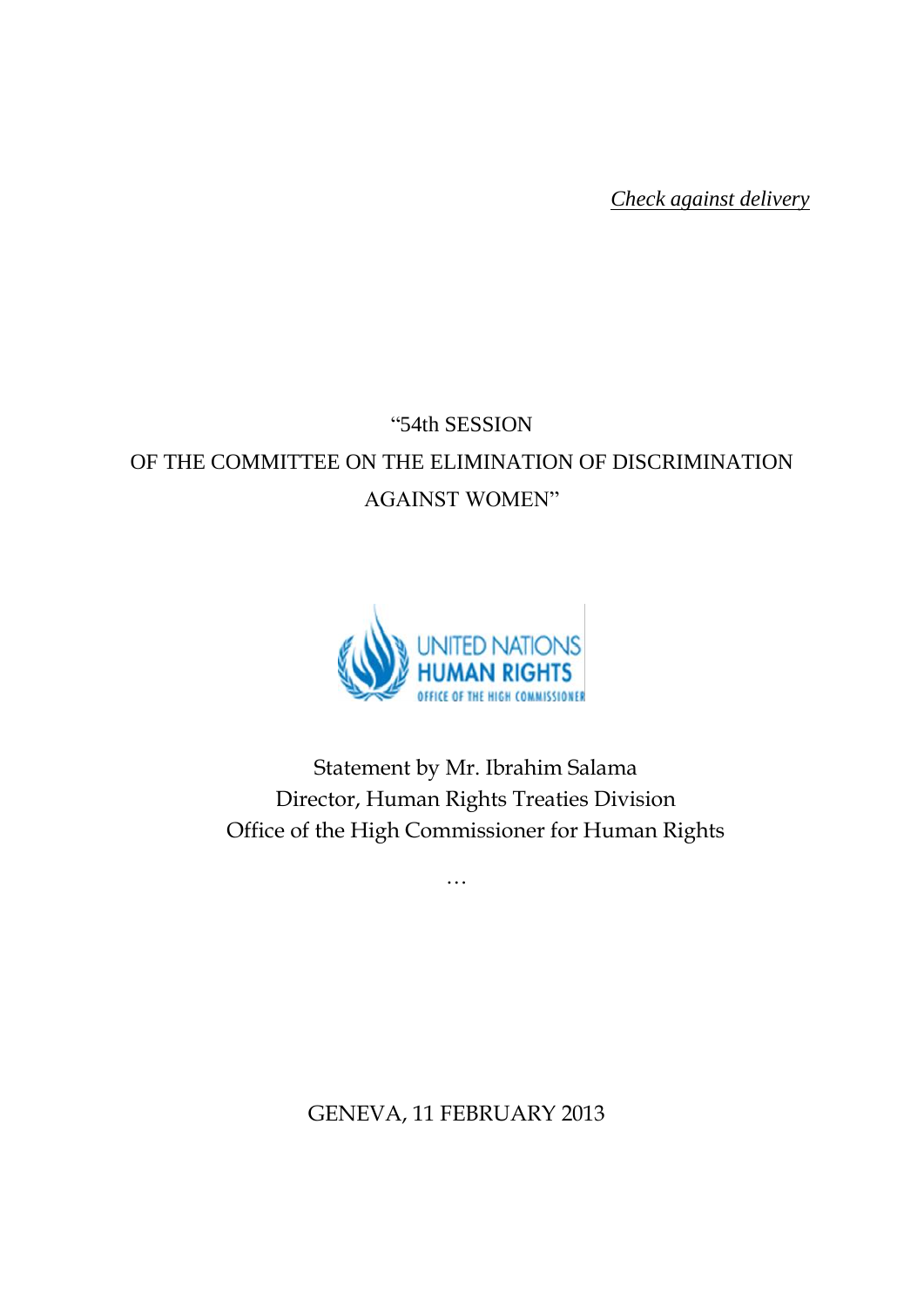*Check against delivery*

# "54th SESSION OF THE COMMITTEE ON THE ELIMINATION OF DISCRIMINATION AGAINST WOMEN"



Statement by Mr. Ibrahim Salama Director, Human Rights Treaties Division Office of the High Commissioner for Human Rights

…

GENEVA, 11 FEBRUARY 2013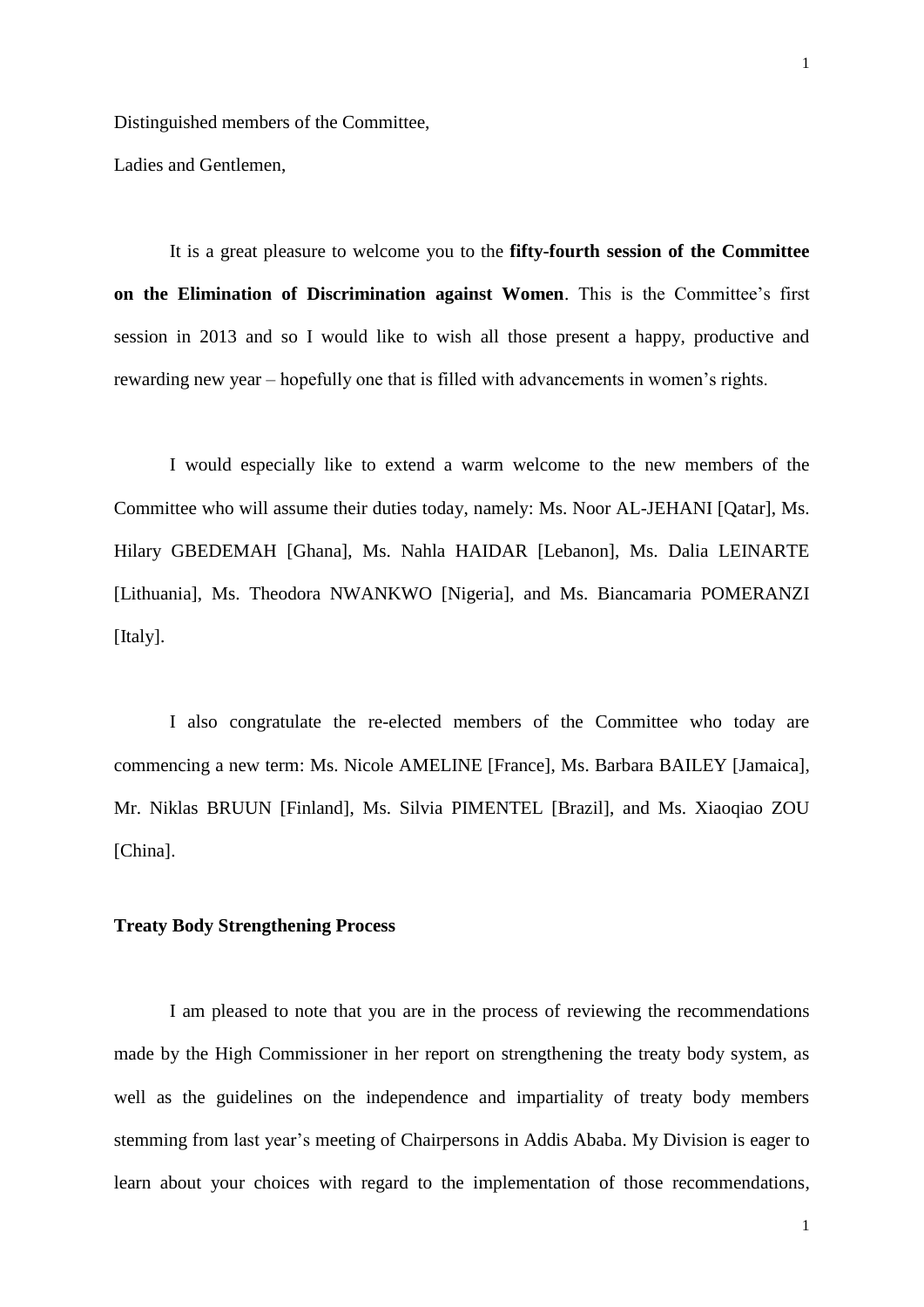Ladies and Gentlemen,

It is a great pleasure to welcome you to the **fifty-fourth session of the Committee on the Elimination of Discrimination against Women**. This is the Committee's first session in 2013 and so I would like to wish all those present a happy, productive and rewarding new year – hopefully one that is filled with advancements in women's rights.

I would especially like to extend a warm welcome to the new members of the Committee who will assume their duties today, namely: Ms. Noor AL-JEHANI [Qatar], Ms. Hilary GBEDEMAH [Ghana], Ms. Nahla HAIDAR [Lebanon], Ms. Dalia LEINARTE [Lithuania], Ms. Theodora NWANKWO [Nigeria], and Ms. Biancamaria POMERANZI [Italy].

I also congratulate the re-elected members of the Committee who today are commencing a new term: Ms. Nicole AMELINE [France], Ms. Barbara BAILEY [Jamaica], Mr. Niklas BRUUN [Finland], Ms. Silvia PIMENTEL [Brazil], and Ms. Xiaoqiao ZOU [China].

#### **Treaty Body Strengthening Process**

I am pleased to note that you are in the process of reviewing the recommendations made by the High Commissioner in her report on strengthening the treaty body system, as well as the guidelines on the independence and impartiality of treaty body members stemming from last year's meeting of Chairpersons in Addis Ababa. My Division is eager to learn about your choices with regard to the implementation of those recommendations,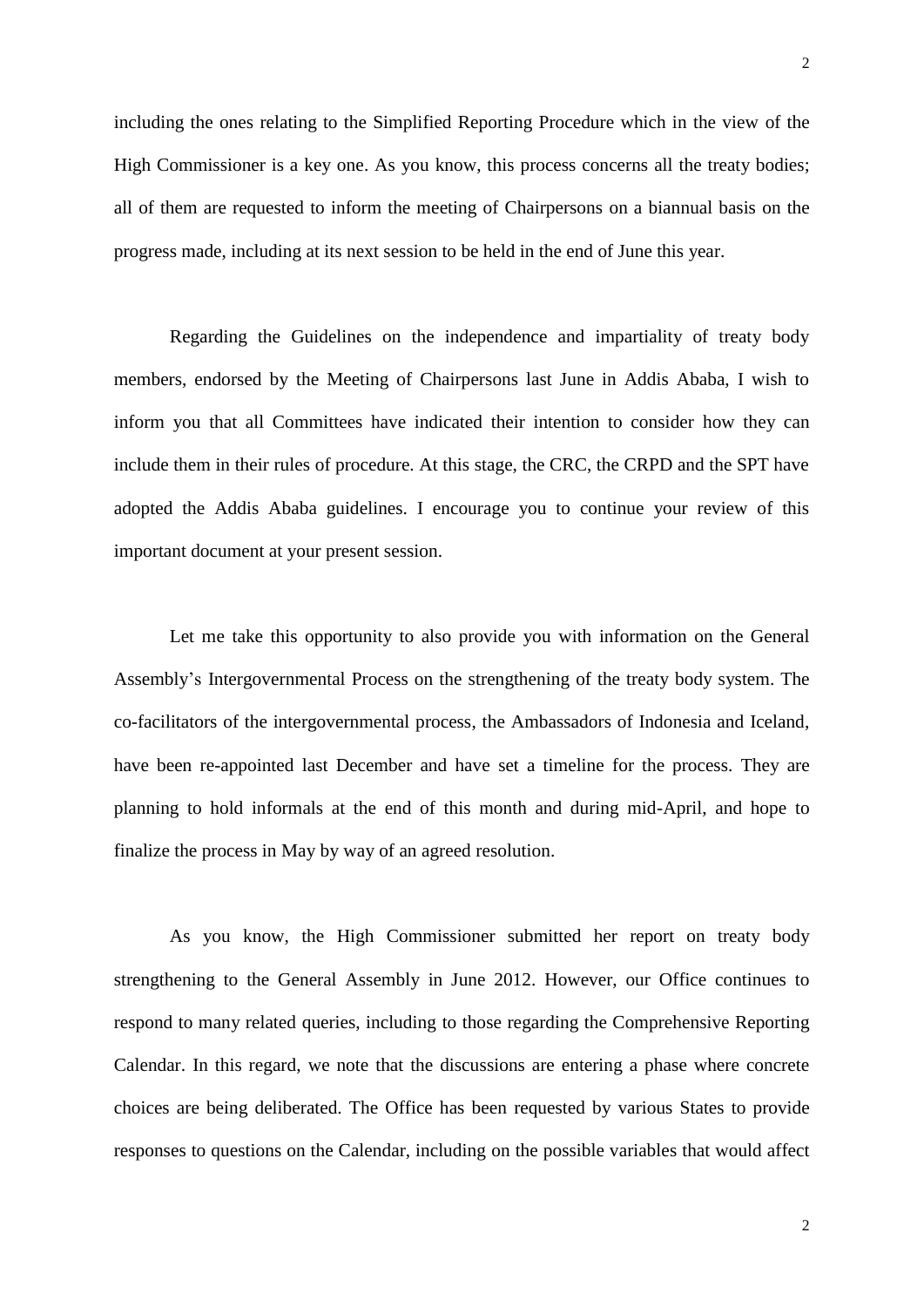including the ones relating to the Simplified Reporting Procedure which in the view of the High Commissioner is a key one. As you know, this process concerns all the treaty bodies; all of them are requested to inform the meeting of Chairpersons on a biannual basis on the progress made, including at its next session to be held in the end of June this year.

Regarding the Guidelines on the independence and impartiality of treaty body members, endorsed by the Meeting of Chairpersons last June in Addis Ababa, I wish to inform you that all Committees have indicated their intention to consider how they can include them in their rules of procedure. At this stage, the CRC, the CRPD and the SPT have adopted the Addis Ababa guidelines. I encourage you to continue your review of this important document at your present session.

Let me take this opportunity to also provide you with information on the General Assembly's Intergovernmental Process on the strengthening of the treaty body system. The co-facilitators of the intergovernmental process, the Ambassadors of Indonesia and Iceland, have been re-appointed last December and have set a timeline for the process. They are planning to hold informals at the end of this month and during mid-April, and hope to finalize the process in May by way of an agreed resolution.

As you know, the High Commissioner submitted her report on treaty body strengthening to the General Assembly in June 2012. However, our Office continues to respond to many related queries, including to those regarding the Comprehensive Reporting Calendar. In this regard, we note that the discussions are entering a phase where concrete choices are being deliberated. The Office has been requested by various States to provide responses to questions on the Calendar, including on the possible variables that would affect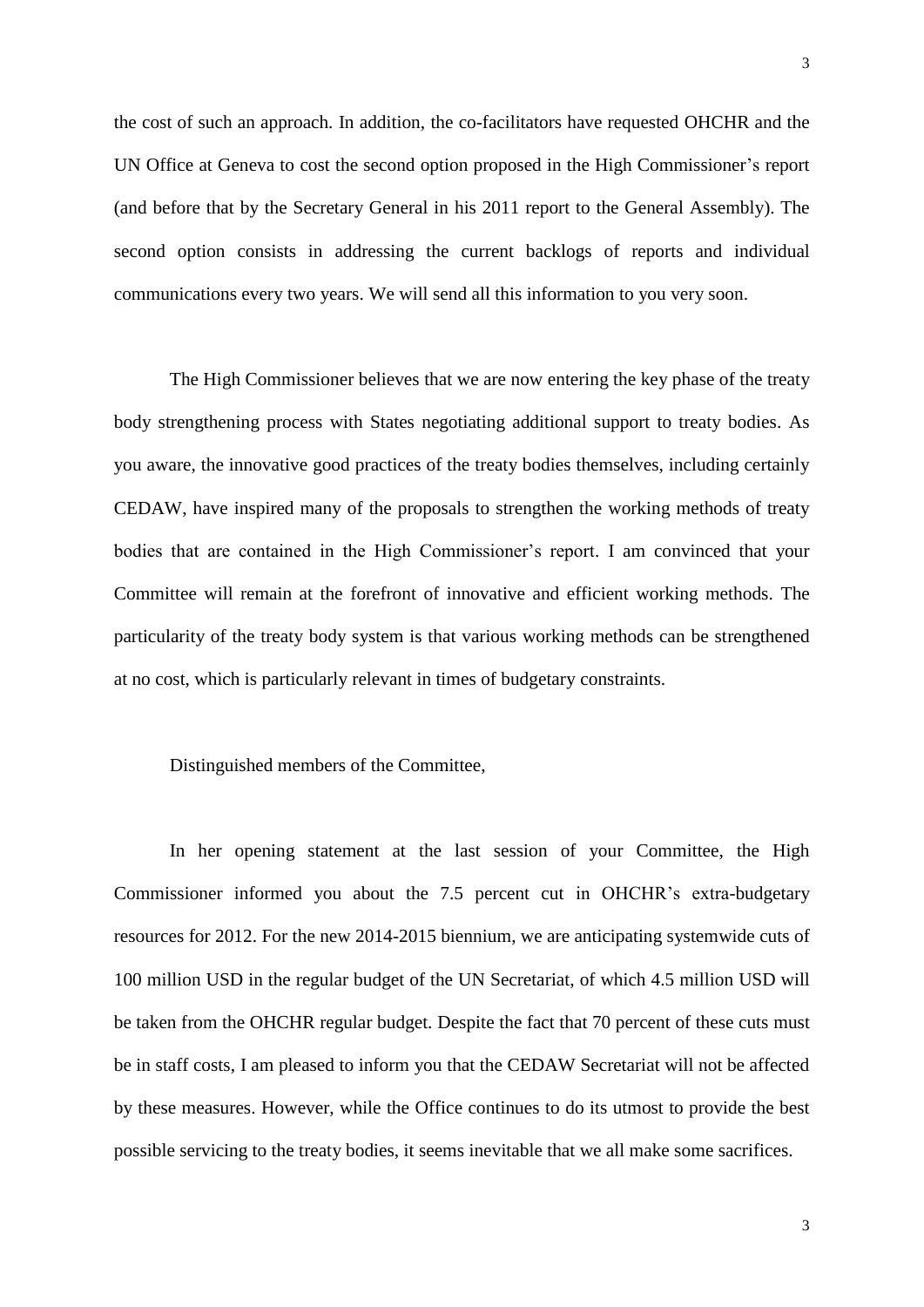the cost of such an approach. In addition, the co-facilitators have requested OHCHR and the UN Office at Geneva to cost the second option proposed in the High Commissioner's report (and before that by the Secretary General in his 2011 report to the General Assembly). The second option consists in addressing the current backlogs of reports and individual communications every two years. We will send all this information to you very soon.

The High Commissioner believes that we are now entering the key phase of the treaty body strengthening process with States negotiating additional support to treaty bodies. As you aware, the innovative good practices of the treaty bodies themselves, including certainly CEDAW, have inspired many of the proposals to strengthen the working methods of treaty bodies that are contained in the High Commissioner's report. I am convinced that your Committee will remain at the forefront of innovative and efficient working methods. The particularity of the treaty body system is that various working methods can be strengthened at no cost, which is particularly relevant in times of budgetary constraints.

#### Distinguished members of the Committee,

In her opening statement at the last session of your Committee, the High Commissioner informed you about the 7.5 percent cut in OHCHR's extra-budgetary resources for 2012. For the new 2014-2015 biennium, we are anticipating systemwide cuts of 100 million USD in the regular budget of the UN Secretariat, of which 4.5 million USD will be taken from the OHCHR regular budget. Despite the fact that 70 percent of these cuts must be in staff costs, I am pleased to inform you that the CEDAW Secretariat will not be affected by these measures. However, while the Office continues to do its utmost to provide the best possible servicing to the treaty bodies, it seems inevitable that we all make some sacrifices.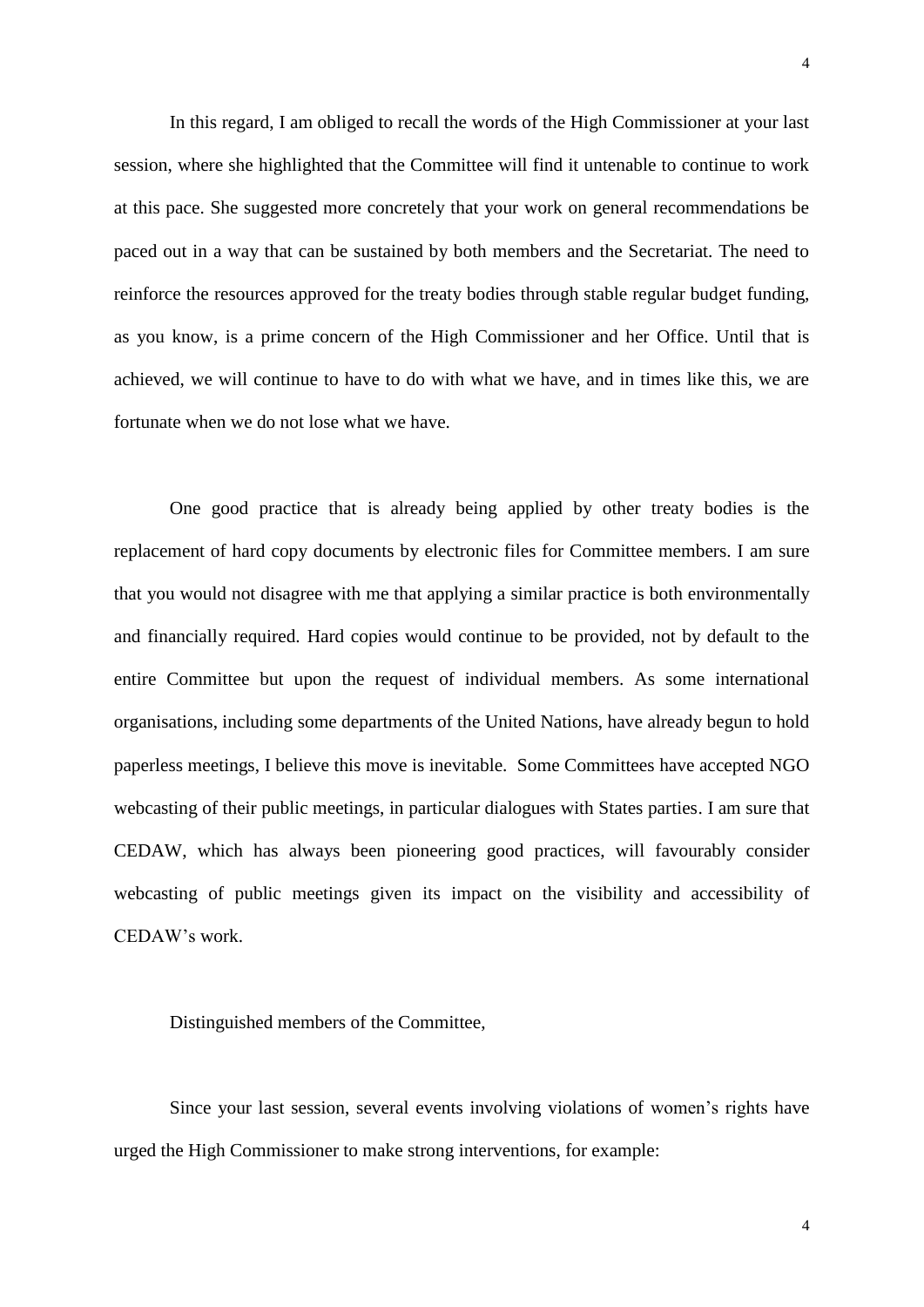In this regard, I am obliged to recall the words of the High Commissioner at your last session, where she highlighted that the Committee will find it untenable to continue to work at this pace. She suggested more concretely that your work on general recommendations be paced out in a way that can be sustained by both members and the Secretariat. The need to reinforce the resources approved for the treaty bodies through stable regular budget funding, as you know, is a prime concern of the High Commissioner and her Office. Until that is achieved, we will continue to have to do with what we have, and in times like this, we are fortunate when we do not lose what we have.

One good practice that is already being applied by other treaty bodies is the replacement of hard copy documents by electronic files for Committee members. I am sure that you would not disagree with me that applying a similar practice is both environmentally and financially required. Hard copies would continue to be provided, not by default to the entire Committee but upon the request of individual members. As some international organisations, including some departments of the United Nations, have already begun to hold paperless meetings, I believe this move is inevitable. Some Committees have accepted NGO webcasting of their public meetings, in particular dialogues with States parties. I am sure that CEDAW, which has always been pioneering good practices, will favourably consider webcasting of public meetings given its impact on the visibility and accessibility of CEDAW's work.

Distinguished members of the Committee,

Since your last session, several events involving violations of women's rights have urged the High Commissioner to make strong interventions, for example: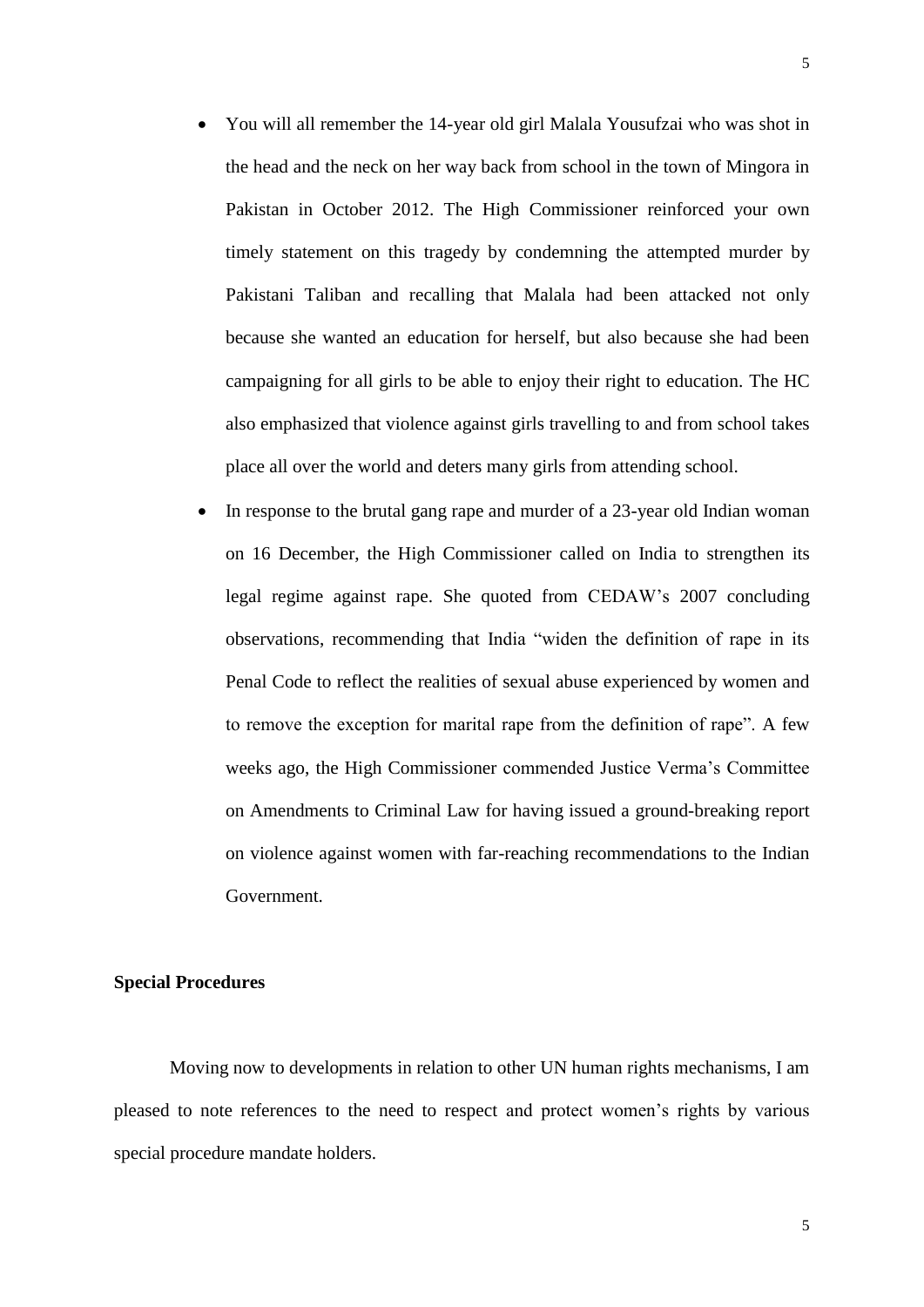- You will all remember the 14-year old girl Malala Yousufzai who was shot in the head and the neck on her way back from school in the town of Mingora in Pakistan in October 2012. The High Commissioner reinforced your own timely statement on this tragedy by condemning the attempted murder by Pakistani Taliban and recalling that Malala had been attacked not only because she wanted an education for herself, but also because she had been campaigning for all girls to be able to enjoy their right to education. The HC also emphasized that violence against girls travelling to and from school takes place all over the world and deters many girls from attending school.
- In response to the brutal gang rape and murder of a 23-year old Indian woman on 16 December, the High Commissioner called on India to strengthen its legal regime against rape. She quoted from CEDAW's 2007 concluding observations, recommending that India "widen the definition of rape in its Penal Code to reflect the realities of sexual abuse experienced by women and to remove the exception for marital rape from the definition of rape". A few weeks ago, the High Commissioner commended Justice Verma's Committee on Amendments to Criminal Law for having issued a ground-breaking report on violence against women with far-reaching recommendations to the Indian Government.

#### **Special Procedures**

Moving now to developments in relation to other UN human rights mechanisms, I am pleased to note references to the need to respect and protect women's rights by various special procedure mandate holders.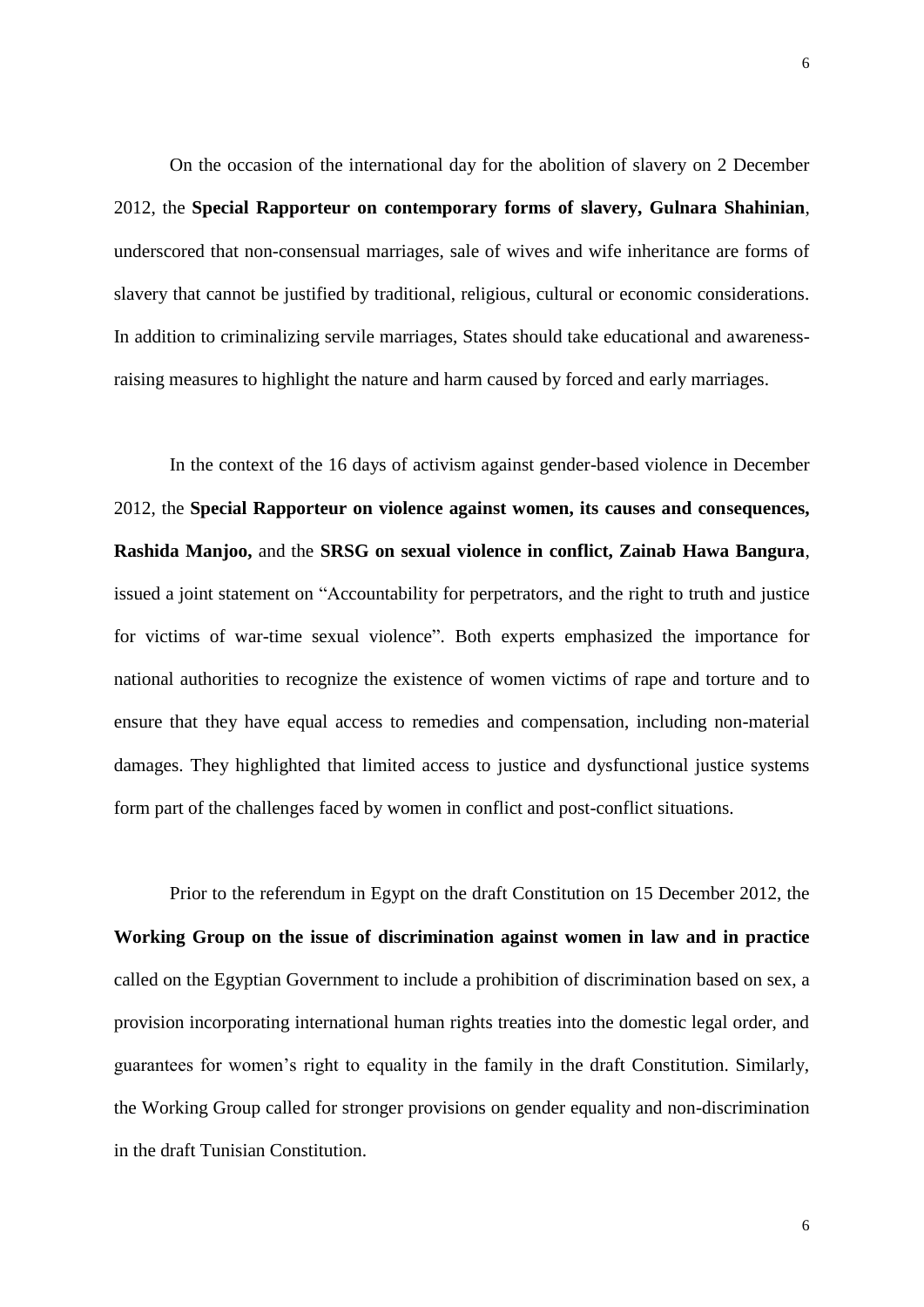On the occasion of the international day for the abolition of slavery on 2 December 2012, the **Special Rapporteur on contemporary forms of slavery, Gulnara Shahinian**, underscored that non-consensual marriages, sale of wives and wife inheritance are forms of slavery that cannot be justified by traditional, religious, cultural or economic considerations. In addition to criminalizing servile marriages, States should take educational and awarenessraising measures to highlight the nature and harm caused by forced and early marriages.

In the context of the 16 days of activism against gender-based violence in December 2012, the **Special Rapporteur on violence against women, its causes and consequences, Rashida Manjoo,** and the **SRSG on sexual violence in conflict, Zainab Hawa Bangura**, issued a joint statement on "Accountability for perpetrators, and the right to truth and justice for victims of war-time sexual violence". Both experts emphasized the importance for national authorities to recognize the existence of women victims of rape and torture and to ensure that they have equal access to remedies and compensation, including non-material damages. They highlighted that limited access to justice and dysfunctional justice systems form part of the challenges faced by women in conflict and post-conflict situations.

Prior to the referendum in Egypt on the draft Constitution on 15 December 2012, the **Working Group on the issue of discrimination against women in law and in practice** called on the Egyptian Government to include a prohibition of discrimination based on sex, a provision incorporating international human rights treaties into the domestic legal order, and guarantees for women's right to equality in the family in the draft Constitution. Similarly, the Working Group called for stronger provisions on gender equality and non-discrimination in the draft Tunisian Constitution.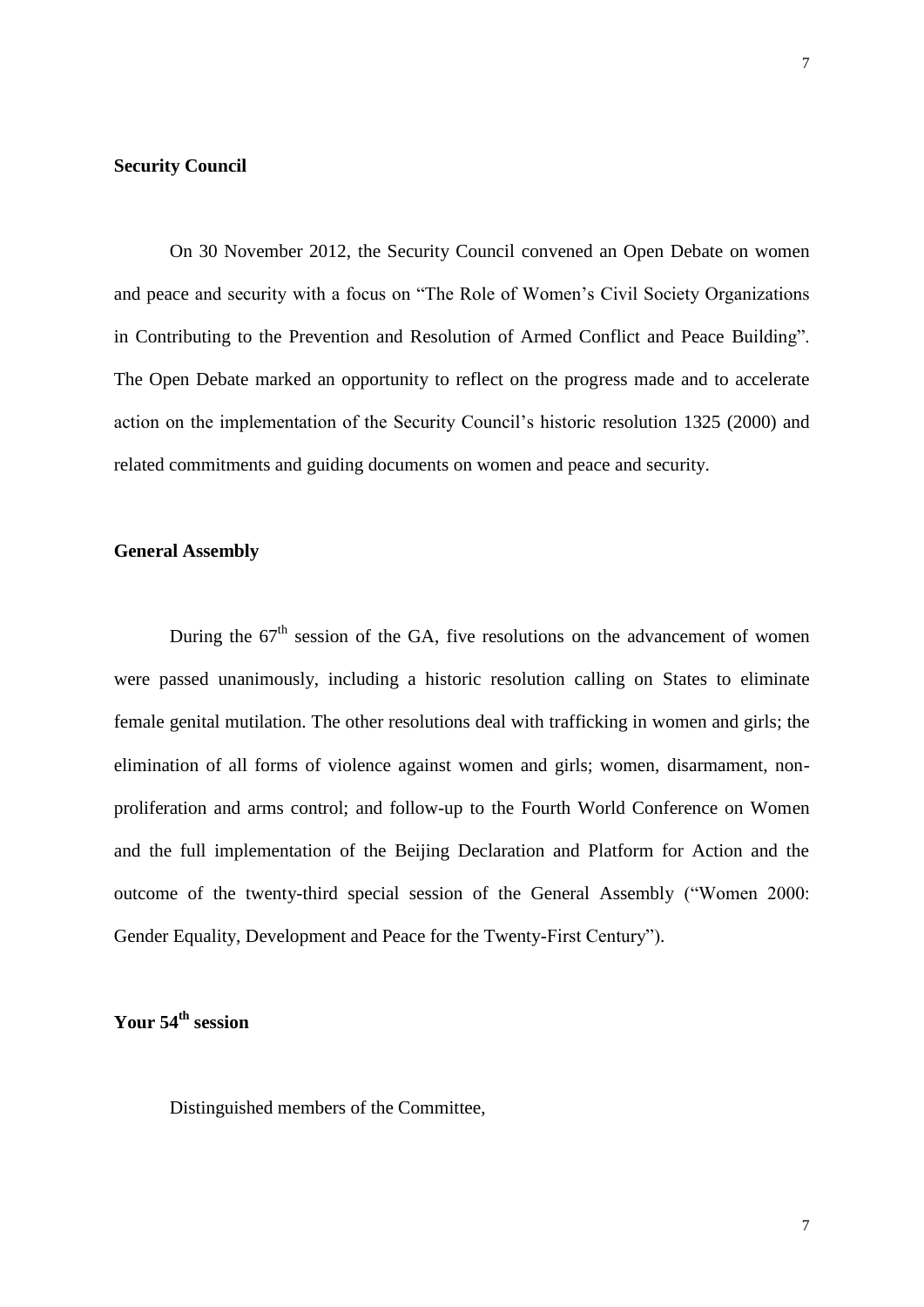#### **Security Council**

On 30 November 2012, the Security Council convened an Open Debate on women and peace and security with a focus on "The Role of Women's Civil Society Organizations in Contributing to the Prevention and Resolution of Armed Conflict and Peace Building". The Open Debate marked an opportunity to reflect on the progress made and to accelerate action on the implementation of the Security Council's historic [resolution 1325 \(2000\)](http://www.un.org/events/res_1325e.pdf) and related [commitments and guiding documents](http://www.unwomen.org/about-us/guiding-documents/) on women and peace and security.

### **General Assembly**

During the  $67<sup>th</sup>$  session of the GA, five resolutions on the advancement of women were passed unanimously, including a historic resolution calling on States to eliminate female genital mutilation. The other resolutions deal with trafficking in women and girls; the elimination of all forms of violence against women and girls; women, disarmament, nonproliferation and arms control; and follow-up to the Fourth World Conference on Women and the full implementation of the Beijing Declaration and Platform for Action and the outcome of the twenty-third special session of the General Assembly ("Women 2000: Gender Equality, Development and Peace for the Twenty-First Century").

## **Your 54th session**

Distinguished members of the Committee,

7